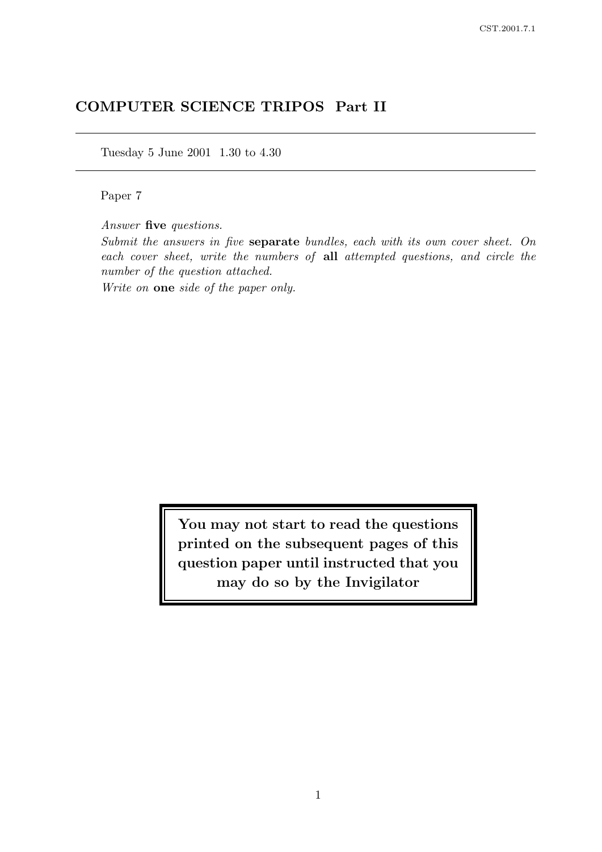# COMPUTER SCIENCE TRIPOS Part II

Tuesday 5 June 2001 1.30 to 4.30

Paper 7

Answer five questions.

Submit the answers in five separate bundles, each with its own cover sheet. On each cover sheet, write the numbers of all attempted questions, and circle the number of the question attached.

Write on one side of the paper only.

You may not start to read the questions printed on the subsequent pages of this question paper until instructed that you may do so by the Invigilator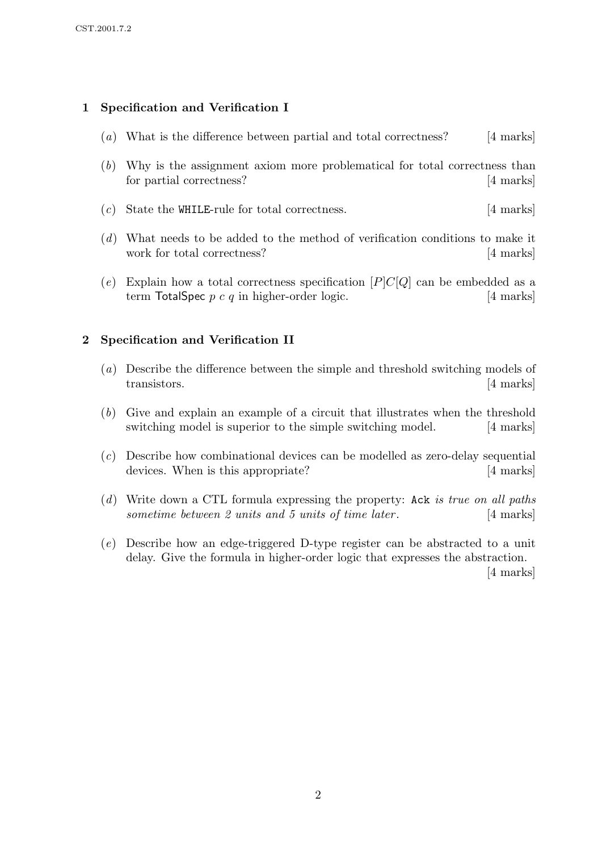## 1 Specification and Verification I

- (a) What is the difference between partial and total correctness? [4 marks]
- (b) Why is the assignment axiom more problematical for total correctness than for partial correctness? [4 marks]
- (c) State the WHILE-rule for total correctness. [4 marks]
- (d) What needs to be added to the method of verification conditions to make it work for total correctness? [4 marks]
- (e) Explain how a total correctness specification  $[P]C[Q]$  can be embedded as a term TotalSpec  $p \, c \, q$  in higher-order logic. [4 marks]

#### 2 Specification and Verification II

- (a) Describe the difference between the simple and threshold switching models of transistors. [4 marks]
- (b) Give and explain an example of a circuit that illustrates when the threshold switching model is superior to the simple switching model. [4 marks]
- (c) Describe how combinational devices can be modelled as zero-delay sequential devices. When is this appropriate? [4 marks]
- (d) Write down a CTL formula expressing the property: Ack is true on all paths sometime between 2 units and 5 units of time later. [4 marks]
- (e) Describe how an edge-triggered D-type register can be abstracted to a unit delay. Give the formula in higher-order logic that expresses the abstraction.

[4 marks]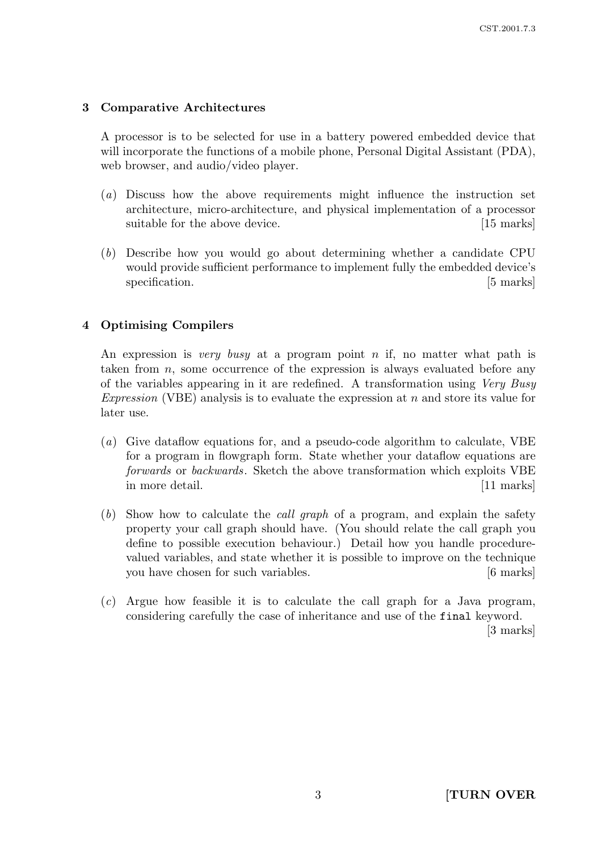## 3 Comparative Architectures

A processor is to be selected for use in a battery powered embedded device that will incorporate the functions of a mobile phone, Personal Digital Assistant (PDA), web browser, and audio/video player.

- (a) Discuss how the above requirements might influence the instruction set architecture, micro-architecture, and physical implementation of a processor suitable for the above device. [15 marks]
- (b) Describe how you would go about determining whether a candidate CPU would provide sufficient performance to implement fully the embedded device's specification. [5 marks]

## 4 Optimising Compilers

An expression is very busy at a program point n if, no matter what path is taken from n, some occurrence of the expression is always evaluated before any of the variables appearing in it are redefined. A transformation using Very Busy Expression (VBE) analysis is to evaluate the expression at  $n$  and store its value for later use.

- (a) Give dataflow equations for, and a pseudo-code algorithm to calculate, VBE for a program in flowgraph form. State whether your dataflow equations are forwards or backwards. Sketch the above transformation which exploits VBE in more detail. [11 marks]
- (b) Show how to calculate the call graph of a program, and explain the safety property your call graph should have. (You should relate the call graph you define to possible execution behaviour.) Detail how you handle procedurevalued variables, and state whether it is possible to improve on the technique you have chosen for such variables. [6 marks]
- (c) Argue how feasible it is to calculate the call graph for a Java program, considering carefully the case of inheritance and use of the final keyword.

[3 marks]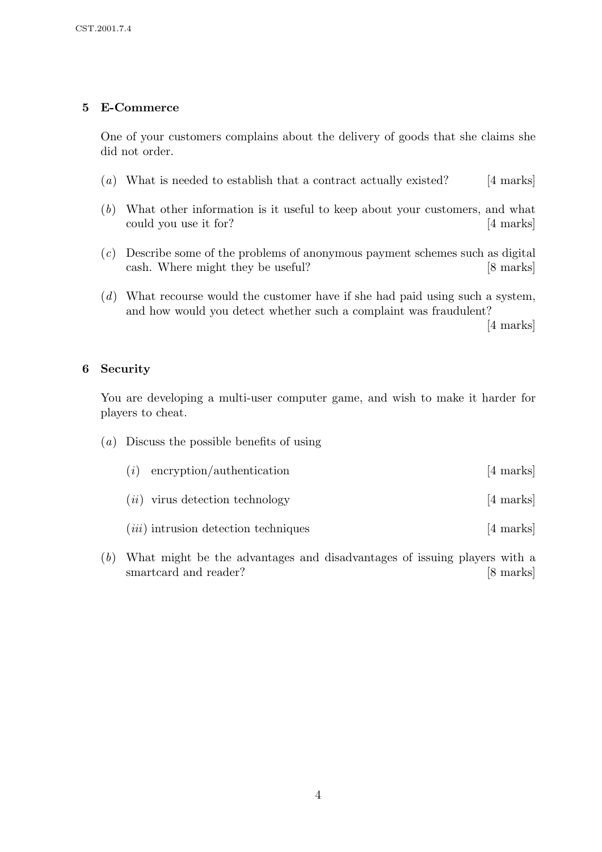## 5 E-Commerce

One of your customers complains about the delivery of goods that she claims she did not order.

- (a) What is needed to establish that a contract actually existed?  $[4 \text{ marks}]$
- (b) What other information is it useful to keep about your customers, and what could you use it for? [4 marks]
- (c) Describe some of the problems of anonymous payment schemes such as digital cash. Where might they be useful? [8 marks]
- (d) What recourse would the customer have if she had paid using such a system, and how would you detect whether such a complaint was fraudulent?

[4 marks]

#### 6 Security

You are developing a multi-user computer game, and wish to make it harder for players to cheat.

(a) Discuss the possible benefits of using

| $(i)$ encryption/authentication   | [4 marks] |
|-----------------------------------|-----------|
| $(ii)$ virus detection technology | [4 marks] |

- $(iii)$  intrusion detection techniques [4 marks]
- (b) What might be the advantages and disadvantages of issuing players with a smartcard and reader? [8 marks]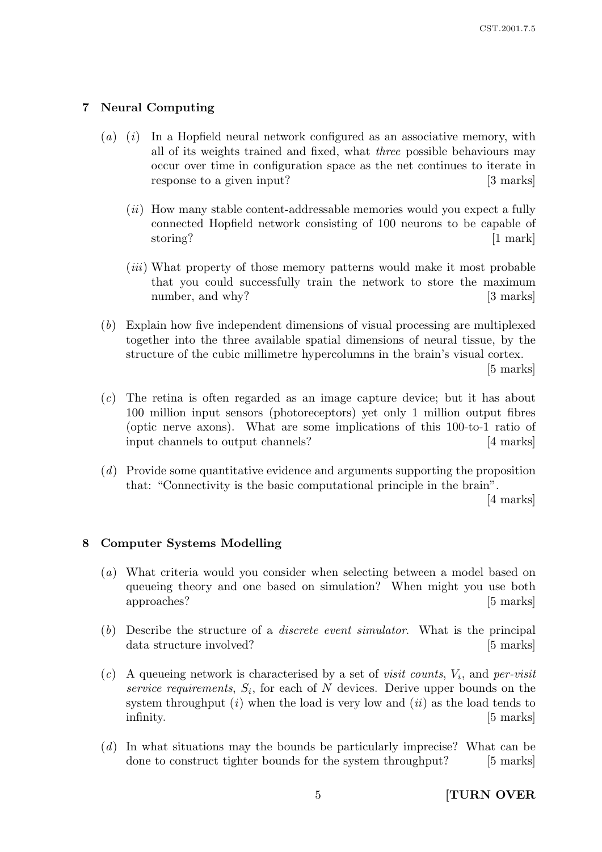#### 7 Neural Computing

- (a) (i) In a Hopfield neural network configured as an associative memory, with all of its weights trained and fixed, what three possible behaviours may occur over time in configuration space as the net continues to iterate in response to a given input? [3 marks]
	- $(ii)$  How many stable content-addressable memories would you expect a fully connected Hopfield network consisting of 100 neurons to be capable of storing? [1 mark]
	- (*iii*) What property of those memory patterns would make it most probable that you could successfully train the network to store the maximum number, and why? [3 marks]
- (b) Explain how five independent dimensions of visual processing are multiplexed together into the three available spatial dimensions of neural tissue, by the structure of the cubic millimetre hypercolumns in the brain's visual cortex.

[5 marks]

- (c) The retina is often regarded as an image capture device; but it has about 100 million input sensors (photoreceptors) yet only 1 million output fibres (optic nerve axons). What are some implications of this 100-to-1 ratio of input channels to output channels? [4 marks]
- (d) Provide some quantitative evidence and arguments supporting the proposition that: "Connectivity is the basic computational principle in the brain".

[4 marks]

#### 8 Computer Systems Modelling

- (a) What criteria would you consider when selecting between a model based on queueing theory and one based on simulation? When might you use both approaches? [5 marks]
- (b) Describe the structure of a discrete event simulator. What is the principal data structure involved? [5 marks]
- (c) A queueing network is characterised by a set of *visit counts*,  $V_i$ , and *per-visit* service requirements,  $S_i$ , for each of N devices. Derive upper bounds on the system throughput  $(i)$  when the load is very low and  $(ii)$  as the load tends to infinity. [5 marks]
- (d) In what situations may the bounds be particularly imprecise? What can be done to construct tighter bounds for the system throughput? [5 marks]

5 [TURN OVER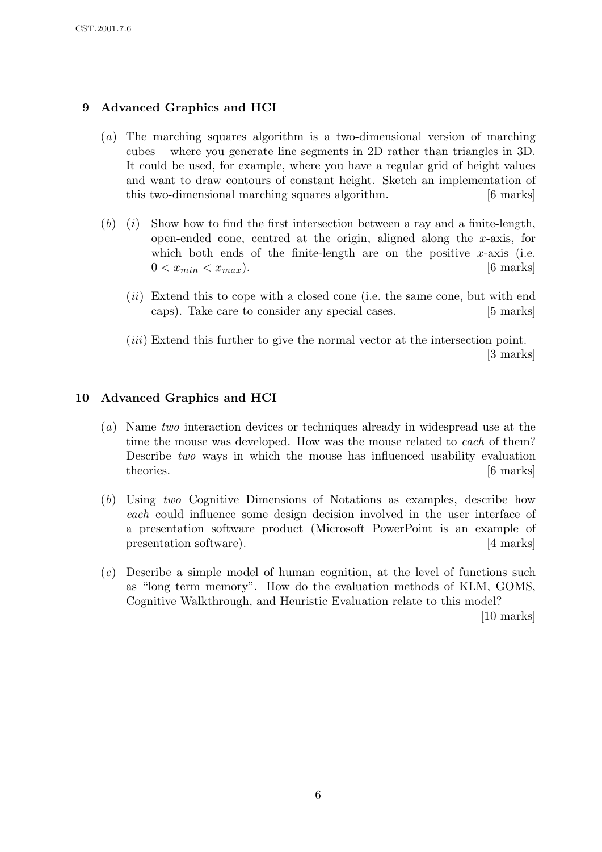## 9 Advanced Graphics and HCI

- (a) The marching squares algorithm is a two-dimensional version of marching cubes – where you generate line segments in 2D rather than triangles in 3D. It could be used, for example, where you have a regular grid of height values and want to draw contours of constant height. Sketch an implementation of this two-dimensional marching squares algorithm. [6 marks]
- $(b)$  (i) Show how to find the first intersection between a ray and a finite-length, open-ended cone, centred at the origin, aligned along the  $x$ -axis, for which both ends of the finite-length are on the positive  $x$ -axis (i.e.  $0 < x_{min} < x_{max}$ ). [6 marks]
	- (*ii*) Extend this to cope with a closed cone (i.e. the same cone, but with end caps). Take care to consider any special cases. [5 marks]
	- (iii) Extend this further to give the normal vector at the intersection point. [3 marks]

## 10 Advanced Graphics and HCI

- (a) Name two interaction devices or techniques already in widespread use at the time the mouse was developed. How was the mouse related to each of them? Describe two ways in which the mouse has influenced usability evaluation theories. [6 marks]
- (b) Using two Cognitive Dimensions of Notations as examples, describe how each could influence some design decision involved in the user interface of a presentation software product (Microsoft PowerPoint is an example of presentation software). [4 marks]
- (c) Describe a simple model of human cognition, at the level of functions such as "long term memory". How do the evaluation methods of KLM, GOMS, Cognitive Walkthrough, and Heuristic Evaluation relate to this model?

[10 marks]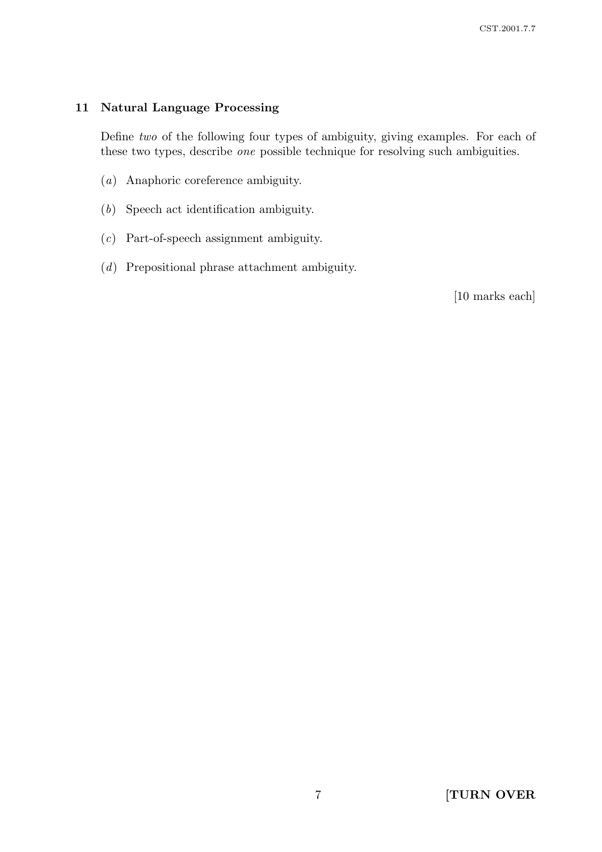### 11 Natural Language Processing

Define two of the following four types of ambiguity, giving examples. For each of these two types, describe one possible technique for resolving such ambiguities.

- (a) Anaphoric coreference ambiguity.
- (b) Speech act identification ambiguity.
- (c) Part-of-speech assignment ambiguity.
- (d) Prepositional phrase attachment ambiguity.

[10 marks each]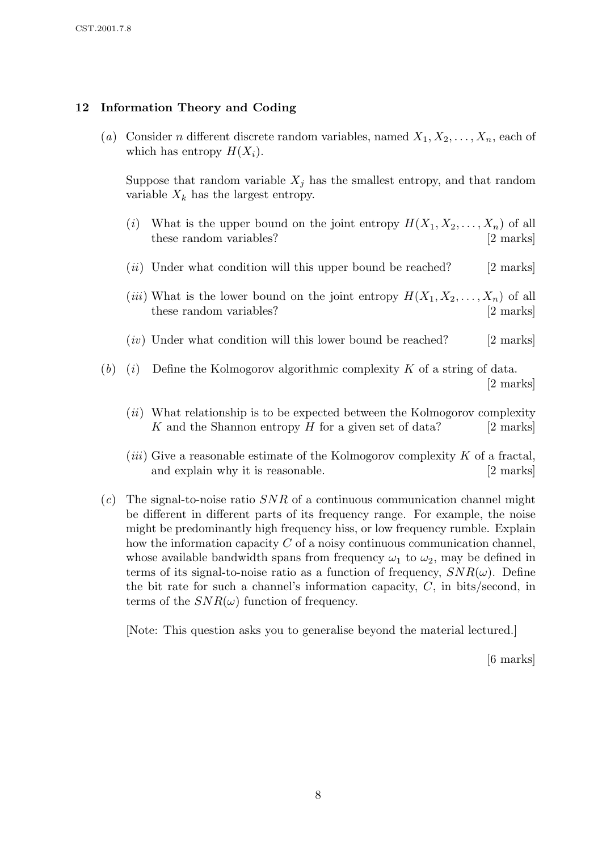### 12 Information Theory and Coding

(a) Consider n different discrete random variables, named  $X_1, X_2, \ldots, X_n$ , each of which has entropy  $H(X_i)$ .

Suppose that random variable  $X_j$  has the smallest entropy, and that random variable  $X_k$  has the largest entropy.

- (i) What is the upper bound on the joint entropy  $H(X_1, X_2, ..., X_n)$  of all these random variables? [2 marks] these random variables?
- $(iii)$  Under what condition will this upper bound be reached? [2 marks]
- (*iii*) What is the lower bound on the joint entropy  $H(X_1, X_2, \ldots, X_n)$  of all these random variables? [2 marks]
- $(iv)$  Under what condition will this lower bound be reached? [2 marks]
- (b) (i) Define the Kolmogorov algorithmic complexity K of a string of data. [2 marks]
	- $(ii)$  What relationship is to be expected between the Kolmogorov complexity K and the Shannon entropy  $H$  for a given set of data? [2 marks]
	- (*iii*) Give a reasonable estimate of the Kolmogorov complexity  $K$  of a fractal, and explain why it is reasonable. [2 marks]
- $(c)$  The signal-to-noise ratio SNR of a continuous communication channel might be different in different parts of its frequency range. For example, the noise might be predominantly high frequency hiss, or low frequency rumble. Explain how the information capacity  $C$  of a noisy continuous communication channel, whose available bandwidth spans from frequency  $\omega_1$  to  $\omega_2$ , may be defined in terms of its signal-to-noise ratio as a function of frequency,  $SNR(\omega)$ . Define the bit rate for such a channel's information capacity,  $C$ , in bits/second, in terms of the  $SNR(\omega)$  function of frequency.

[Note: This question asks you to generalise beyond the material lectured.]

[6 marks]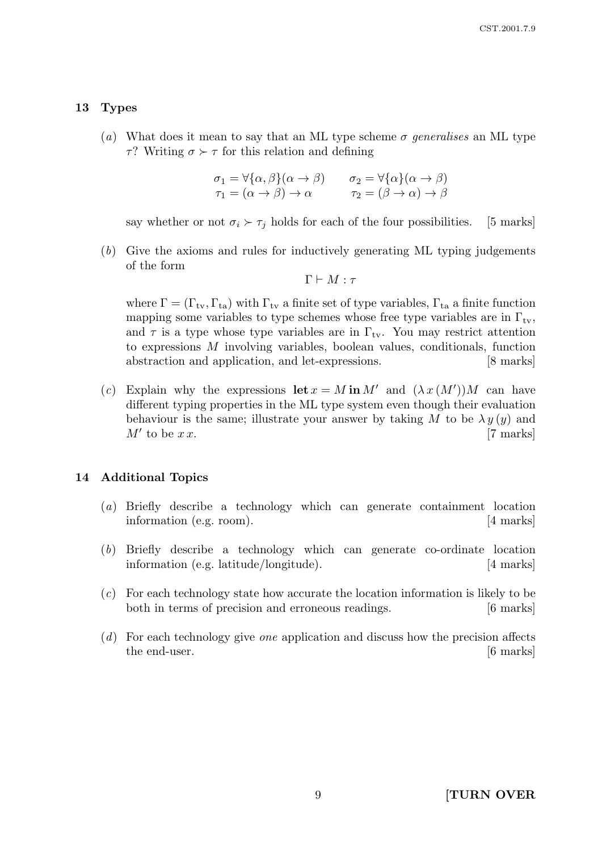#### 13 Types

(a) What does it mean to say that an ML type scheme  $\sigma$  generalises an ML type τ? Writing  $\sigma \succ \tau$  for this relation and defining

$$
\begin{aligned}\n\sigma_1 &= \forall \{\alpha, \beta\} (\alpha \to \beta) & \sigma_2 &= \forall \{\alpha\} (\alpha \to \beta) \\
\tau_1 &= (\alpha \to \beta) \to \alpha & \tau_2 &= (\beta \to \alpha) \to \beta\n\end{aligned}
$$

say whether or not  $\sigma_i \succ \tau_j$  holds for each of the four possibilities. [5 marks]

(b) Give the axioms and rules for inductively generating ML typing judgements of the form

$$
\Gamma \vdash M : \tau
$$

where  $\Gamma = (\Gamma_{\text{tv}}, \Gamma_{\text{ta}})$  with  $\Gamma_{\text{tv}}$  a finite set of type variables,  $\Gamma_{\text{ta}}$  a finite function mapping some variables to type schemes whose free type variables are in  $\Gamma_{\text{tv}}$ , and  $\tau$  is a type whose type variables are in  $\Gamma_{\text{tv}}$ . You may restrict attention to expressions M involving variables, boolean values, conditionals, function abstraction and application, and let-expressions. [8 marks]

(c) Explain why the expressions  $\text{let } x = M \text{ in } M'$  and  $(\lambda x (M'))M$  can have different typing properties in the ML type system even though their evaluation behaviour is the same; illustrate your answer by taking M to be  $\lambda y(y)$  and  $M'$  to be  $x x$ . [7 marks]

#### 14 Additional Topics

- (a) Briefly describe a technology which can generate containment location information (e.g. room). [4 marks]
- (b) Briefly describe a technology which can generate co-ordinate location information (e.g. latitude/longitude). [4 marks]
- (c) For each technology state how accurate the location information is likely to be both in terms of precision and erroneous readings. [6 marks]
- (d) For each technology give one application and discuss how the precision affects the end-user. [6 marks]